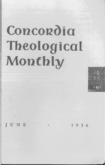## Concordia Theological Monthly



U N E • 1956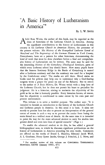## "A Basic History of Lutheranism in America"\*

By 1. W. SPITZ

bdel Ross Wentz, the author of this book, may be regarded as the dean of historians of the Lutheran Church in America. Among the significant contributions to the history of Lutheranism in this country is his *Lutheran Church in American History,* the precursor of the present volume. His *History of the Evangelical Lutheran SY1wd of Maryland* and *The Beginnings of the German Element in York County, Pennsylvania,* have set a pattern for other historians, demonstrating the kind of work that must be done elsewhere before a final and comprehensive history of Lutheranism can be written. The same may be said for his interesting *History of the Gettysburg Theological Seminary,* parts of which every Lutheran school boy should know. How many pupils know that the famous Seminary Ridge in the Battle of Gettysburg is named after a Lutheran seminary and that the seminary was used for a hospital by the Confederate army? The marks are still there. Blood stains on books used for pillows may help one to understand why a God.fearing surgeon wrote a prayer for peace on one of the flyleaves. But to return to the author of *A Basic History,* Dr. Wentz writes with a deep love of the Lutheran Church; but he does not permit his heart to prejudice his judgment. He is a historian, aiming to maintain the objectivity of his guild as far as that is humanly possible. Every historian knows, of course, that his objectivity is conditioned to some extent by his own past and present environment.

This volume is to serve a twofold purpose. The author says: "It is intended to furnish an introduction to the history of the Lutheran Church and Lutheran people in America. In this sense it is basic. It aims not merely to present facts but also to present an interpretation of the general course of events in such a way as to prevent the reader from losing the main thread in a webbed mass of details. At the same time it is intended to point the way for the more advanced student to carry his studies into greater detail and even into lines of special research." (Page v.)

To enable the advanced student to do this, he has added a general bibliographical note, in which he discusses significant publications on the history of Lutheranism in America preceding his own works. Comments are offered on the works of Ernest L. Hazelius, Edmund Jacob Wolf, A. L. Graebner, Henry Eyster Jacobs, George J. Fritschel, J. L. Neve, and

<sup>\*</sup> For another review of this volume see CONCORDIA THEOLOGICAL MONTHLY, XXVII (January 1956), 67 f.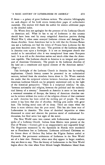F. Bente - a galaxy of great Lutheran writers. The selective bibliography on each chapter of his book covers twenty-three pages of authoritative materials. The student will thank the author for sixteen additional pages in the detailed index.

Dr. Wentz does not apologize for the presence of the Lutheran Church on American soil. What he has to say of Lutherans in this country should have been read by many misguided American patriots during World War I, when some annoyed Lutheran citizens and damaged Lutheran churches. Some Americans had to be told that the German Kaiser was not a Lutheran, nor had the rulers of Prussia been Lutheran for the past three hundred years. He says: "The position of the Lutheran church in America rests upon a birthright. It is not an immigrant church that needed to be naturalized after it was transplanted from some European land. It is as old as the American nation and much older than the American republic. The Lutheran church in America is an integral and potent part of American Christianity. The people in the Lutheran churches of the land are a constituent and typical element of the American nation." (Page v.)

This birthright of the Lutheran Church in America has far-reaching implications. Church history cannot be presented in an ecclesiastical vacuum, isolated from the mundane forces about it. Dr. Wentz reminds the reader that the reciprocal relation between American culture and the American Lutheran Church can be properly understood only in the light of the historical perspective. "There is a reciprocal relation," he says, "between nationality and religion, between the political and the ecclesiastical history of a country." Inasmuch as America is more or less merely a westward extension of Europe, the history of American churches cannot be written without due notice of the religious climate of that continent as well. America has been called the melting pot of people. To some extent it has been that also of churches. Melting pots seethe with great heat. The boiling metal casts off its dross. There are times when the dross is more obvious than the pure metal. This has also been true of Lutheranism in America. The dross of doctrinal impurities at times threatened to cover and obscure the precious metal of confessional Lutheranism, but God never lost sight of the metal.

The New World came into contact with Lutheranism before anyone spoke of a Lutheran Church. Indians from Mexico were present at the Diet of Worms-Cortez's gift to an unappreciative and ungrateful king! The Huguenots massacred by the Spaniards in Florida were murdered not as Frenchmen but as Lutherans. Lutherans celebrated Christmas on the frozen shore of Hudson Bay before the Pilgrim Fathers settled at Plymouth. But permanent settlements of Lutherans in the New World are of a later date. However, when once they appear in larger numbers, they are there to stay. Thus the history of Lutheranism in the New World begins about the time when Peter Minuit bought Manhattan Island from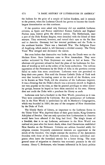the Indians for the price of a couple of Indian blankets, and it extends to the present, when the Lutheran Church has grown to become the fourthlargest denomination on this continent.

If the question were asked why Germany did not establish Lutheran colonies, as Spain and France established Roman Catholic and England Puritan ones, history gives the obvious answer. The Netherlands, once a part of the Holy Roman Empire, were drenched with the blood of their martyrs. They recovered, however, and turned their eyes to the Far East and to America. Germany had her internal problems and the Turks to the southeast besides. There was a Smalcald War. The Religious Peace of Augsburg, which ended it, left Germany a divided country. The Thirty Years' War ravaged and decimated the nation.

But even before that destructive war broke out, the Dutch were on the Hudson River. Soon Lutherans came to New Amsterdam. They were neither welcomed by Peter Stuyvesant nor made to feel at home. The obstinate old governor refused to heed the pleas of the Lutherans for freedom of worship as well as the orders of his home authorities. The ruthless oppression of the Protestants by the Duke of Alba in the previous century failed to make him more considerate. Lutherans were not permitted to keep their own pastor. Not until the Roman Catholic Duke of York took over that lucrative fur-trading center at the mouth of the Hudson, now to be known as New York, did the situation of the Lutherans improve. It was a blessing that the Duke's church was a minority church in England, not very popular at the time, so that he granted privileges to other minority groups, because he hoped to have them extended to his own. History does not credit the Duke with a penchant for liberty as such.

Lutherans now had a foothold in the New World, precarious as it was. They were outnumbered by Calvinists. But the permanence of Lutheranism in the New World is symbolized by old St. Matthew's Congregation, which was founded in 1664, the year of the conquest of New Amsterdam by the Duke of York.

The bloody Battle of Liitzen, so important to the Lutheran forces in the Thirty Years' War, deprived them of their great leader, King Gustavus Adolphus of Sweden. One can only speculate how Lutheranism in America would have been affected if the king had lived. The king's dream of a Swedish, that is to say Lutheran, settlement in the New World was realized six years after his heroic death, when Axel Oxenstierna established New Sweden on the Delaware. Colonies are seldom founded solely for religious reasons; frequently commercial interests are uppermost in the minds of the founders. One might contrast the motives of the Jamestown founders with those of the Plymouth colonists. Likewise individual emigrants often leave the homeland merely for a better living. The most general cause of migration to America was economic pressure in the old country. Henry C. Brokmeyer, who became influential in St. Louis politics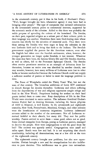in the nineteenth century, put it thus in his book, *A Mechanic's Diary:*  "Well, hunger brought me here, whatsoever agency it may have had in bringing other people." The type of companies that initiated colonization in the seventeenth century points to commercial interests, supported by the economic needs of the colonists. Added to this there was probably the noble purpose of spreading the culture of the homeland. The Swedes, on their part, regarded religion as a salient part of their culture; pride in their language was another. Doubtless there were God-fearing men whose concern was chiefly for the salvation of immortal souls. Thus there were those among the Swedes who were eager to keep the colonists in the true Lutheran faith and to bring that faith to the Indians. The Swedish government supplied the pastors for the American venture, even after the English had taken over the Swedish settlements; when, however, the younger generation no longer spoke Swedish, it lost interest. Whatever the cause may have been, the famous Gloria Dei and Old Swedes churches, as well as others, fell to the Protestant Episcopal Church. The Swedes often receive prominent mention as an example of defection from Lutheranism, because an entire area was absorbed by another church; one may wonder, however, how many millions of Lutherans were lost to other faiths or became unchurched because the Lutheran Church could not supply a sufficient number of pastors or failed to meet the language problem in time.

The Peace of Westphalia ended the Thirty Years' War, but not the wars of that century. The boundless ambitions of Louis XIV continued to disturb Europe for decades thereafter. Lutherans and others suffering from the depredations of war and religious oppression sought refuge and food in the New World. Proprietors looking for settlers on their land grants invited them to come over. Rosy descriptions of life in the New World were circulated to entice settlers. The influence Gottfried Duden's famous *Report* had in drawing Germans, including the Saxon pilgrims of 1839 to Missouri, is well known. In the seventeenth and eighteenth centuries, New York, Pennsylvania, Maryland, Georgia, and other colonies were the beneficiaries of numerous migrations. Lutheran indentured servants added to the number of the newcomers. Not all Lutherans remained faithful to their church, but many did. They met for public worship. Pastors arrived to serve them - some good, others not so good. Some clerical renegades from Europe, posing as Lutheran pastors, managed to deceive the people. How were congregations to tell the good from the bad? The country was sparsely settled. Congregations were small and miles apart. Roads were few and bad. It is not surprising that church membership, including all denominations, was at a low ebb at the turn of the eighteenth century.

The eighteenth century brought new problems, but also new opportunities. Pietism brought a new zeal for evangelization but also indifference to pure doctrine. This indifference was to grow into rationalism.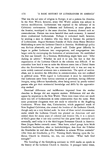That was the sad state of religion in Europe; it set a pattern for America. In the New World, however, every Old World pattern was subject to various modifications. Lutheranism was exposed to the influence of its Calvinistic environment. Lutherans and Reformed, at some places on the frontier, worshiped in the same churches. Economy dictated such accommodations. Pietism was more harmful than such economy. It watered down confessional Lutheranism. Perhaps *it* redeemed *itself,* however, by sending a man to America who was there to become the patriarch of Lutheranism. August Hermann Francke of Halle chose Henry Melchior Muhlenberg to serve the Lutheran Church in America. Muhlenberg's policy was *Ecclesia plantanda,* and he planted well. Under great difficulty he began to gather Lutherans into congregations, and congregations into larger units by encouraging the formation of ministeriums. He established the first one himself. As a German, Muhlenberg might have said: "Aller Anfang ist schwer." Whether he said it or not, the fact is that the organization of the Lutheran Church in the colonies was difficult. If we remember how hard it was to unite the thirteen states into a United States after the Revolutionary War, we can understand why it was not easy to unite widely scattered ministers into a ministerium. The spirit of sectionalism, not to mention the difficulties in communication, was not confined to political areas. With regard to Lutheranism it must be remembered that Lutherans came from various countries or provinces, having different liturgies, using different hymnbooks, often being served by poorly trained pastors who got their ministerial knowledge and skills by the apprenticeship method.

Doctrinal differences and indifference imported from the mother churches in Europe did not improve matters. Differences did not disappear by migration to the New World. There were times when not much more was left of Lutheranism in some communities than the name. Even some prominent clergymen were not ready to subscribe to the Augsburg Confession. Worse than that, Unitarianism, which paganized much of New England Calvinism, also crossed the borders of the Lutheran Church, though only on a very limited scale. In view of these varied circumstances under which the Lutheran Church was planted on American soil and existed there for many years of colonial and frontier life, it is a miracle of God's grace that it not only survived but also grew both internally and externally, until today it is the third-largest Protestant Church in America. Hans Jiirgen Baden correctly states: "Man kann, scharf gesagt, kein Stiick Geschichte beschreiben, ohne zu beriicksichtigen, dass Gott der Urheber der Geschichte ist und dass alles Geschehen in seinem Willen urständet" *(Der Sinn der Geschichte,* p. 15). Viewing God's blessing upon the Lutheran Church in America, we, too, can exclaim: "What hath God wrought!"

The founding of the Gettysburg seminary in 1826 marks an epoch in the history of the Lutheran Church in America. It presaged better times,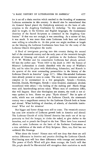for it set off a chain reaction which resulted in the founding of numerous Lutheran seminaries in this country. **It** should also be remembered that the General Synod placed the Gettysburg seminary on the basis of subscription to the Augsburg Confession by declaring: "In this seminary shall be taught, in the German and English languages, the fundamental doctrines of the Sacred Scriptures as contained in the Augsburg Confession." If that was not enough, it was something. As a matter of fact, it was much. It was more than some Lutherans both here and abroad were willing to subscribe to. At this point one might meditate at length on the blessing the Lutheran Confessions have been for the unity of the Lutheran Church throughout the world.

A flood of immigrants pouring into this country during the second half of the nineteenth century and the early years of the twentieth brought showers of blessing and clouds of problems to the Lutheran Church. C. F. W. Walther and his conservative Lutherans had already arrived. Of him the author says: "From 1839 to his death in 1887 the history of Missouri Lutheranism is closely identified with the story of Walther's life, and he takes his place with Muhlenberg, Schmucker, and Krauth in the quartet of the most outstanding personalities in the history of the Lutheran Church in America" (page 117). Other like-minded Lutherans were already present or soon to come. The story is too immense and too complex to be summarized in a few paragraphs. Synods-German, Swedish, Danish, Norwegian, Slovak-were founded, combined, divided, recombined with others - the boiling of the melting pot! Harsh things were said; heartbreaking actions taken. Where men of conviction differ, that will happen. Since also theologians are sinners, the truth is not always spoken in love. Hence we pray: "Kyrie eleison!" But in spite of strife, which was not confined to the Lutheran Church, the nineteenth century was a magnificant century for the Lutheran Church both at home and abroad. What building of churches, of schools, of charitable institutions! What zeal for missions!

But bigger and better things were still to come. The twentieth century has seen new miracles of Lutheran growth both in America and abroad. The Lutheran Church of richly blessed America has made use of its opportunity to feed the hungry, to clothe the naked, to give shelter to the homeless, and to preach the Gospel to the lost. There have been renewed efforts to unite Lutherans on the basis of the Lutheran Confessions as a true exhibition of the tfuth of Holy Scripture. Here, too, God has not withheld His blessings.

What about the future? Honest men will not deny that there are still serious differences in doctrine and practice dividing the Lutheran Church. God-fearing men will face these differences with courage and resolution. The power of God's Word will give them courage; the Lord's will that His people should be like-minded will strengthen their resolution to work